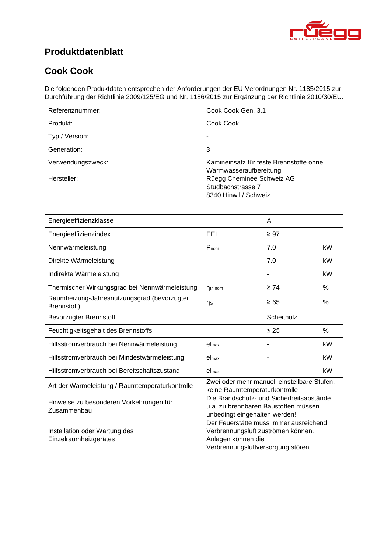<span id="page-0-4"></span><span id="page-0-3"></span><span id="page-0-2"></span><span id="page-0-1"></span>

# **Produktdatenblatt**

#### <span id="page-0-0"></span>**Cook Cook**

Die folgenden Produktdaten entsprechen der Anforderungen der EU-Verordnungen Nr. 1185/2015 zur Durchführung der Richtlinie 2009/125/EG und Nr. 1186/2015 zur Ergänzung der Richtlinie 2010/30/EU.

| Referenznummer:   | Cook Cook Gen. 3.1                                                      |
|-------------------|-------------------------------------------------------------------------|
| Produkt:          | Cook Cook                                                               |
| Typ / Version:    |                                                                         |
| Generation:       | 3                                                                       |
| Verwendungszweck: | Kamineinsatz für feste Brennstoffe ohne<br>Warmwasseraufbereitung       |
| Hersteller:       | Rüegg Cheminée Schweiz AG<br>Studbachstrasse 7<br>8340 Hinwil / Schweiz |

<span id="page-0-8"></span><span id="page-0-7"></span><span id="page-0-6"></span><span id="page-0-5"></span>

| Energieeffizienzklasse                                     |                                                                                                                                          | A          |      |
|------------------------------------------------------------|------------------------------------------------------------------------------------------------------------------------------------------|------------|------|
| Energieeffizienzindex                                      | EEI                                                                                                                                      | $\geq 97$  |      |
| Nennwärmeleistung                                          | $P_{nom}$                                                                                                                                | 7.0        | kW   |
| Direkte Wärmeleistung                                      |                                                                                                                                          | 7.0        | kW   |
| Indirekte Wärmeleistung                                    |                                                                                                                                          |            | kW   |
| Thermischer Wirkungsgrad bei Nennwärmeleistung             | $\eta_{th,nom}$                                                                                                                          | $\geq 74$  | %    |
| Raumheizung-Jahresnutzungsgrad (bevorzugter<br>Brennstoff) | ηs                                                                                                                                       | $\geq 65$  | $\%$ |
| <b>Bevorzugter Brennstoff</b>                              |                                                                                                                                          | Scheitholz |      |
| Feuchtigkeitsgehalt des Brennstoffs                        |                                                                                                                                          | $\leq 25$  | %    |
| Hilfsstromverbrauch bei Nennwärmeleistung                  | el <sub>max</sub>                                                                                                                        |            | kW   |
| Hilfsstromverbrauch bei Mindestwärmeleistung               | el <sub>max</sub>                                                                                                                        |            | kW   |
| Hilfsstromverbrauch bei Bereitschaftszustand               | el <sub>max</sub>                                                                                                                        |            | kW   |
| Art der Wärmeleistung / Raumtemperaturkontrolle            | Zwei oder mehr manuell einstellbare Stufen,<br>keine Raumtemperaturkontrolle                                                             |            |      |
| Hinweise zu besonderen Vorkehrungen für<br>Zusammenbau     | Die Brandschutz- und Sicherheitsabstände<br>u.a. zu brennbaren Baustoffen müssen<br>unbedingt eingehalten werden!                        |            |      |
| Installation oder Wartung des<br>Einzelraumheizgerätes     | Der Feuerstätte muss immer ausreichend<br>Verbrennungsluft zuströmen können.<br>Anlagen können die<br>Verbrennungsluftversorgung stören. |            |      |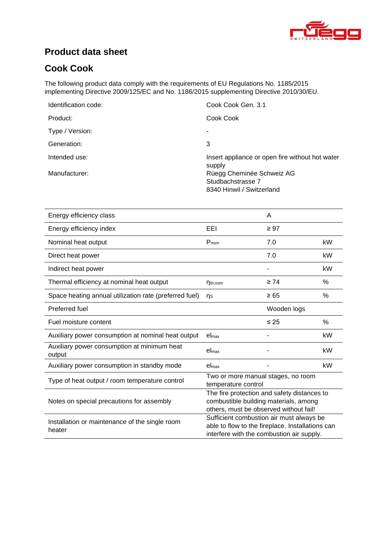

# **Product data sheet**

# **[Cook Cook](#page-0-0)**

The following product data comply with the requirements of EU Regulations No. 1185/2015 implementing Directive 2009/125/EC and No. 1186/2015 supplementing Directive 2010/30/EU.

| Identification code: | Cook Cook Gen. 3.1                                        |
|----------------------|-----------------------------------------------------------|
| Product:             | Cook Cook                                                 |
| Type / Version:      | ٠                                                         |
| Generation:          | 3                                                         |
| Intended use:        | Insert appliance or open fire without hot water<br>supply |
| Manufacturer:        | Rüegg Cheminée Schweiz AG                                 |
|                      | Studbachstrasse 7                                         |
|                      | 8340 Hinwil / Switzerland                                 |

| Energy efficiency class                                  |                                                                                                                                           | A           |      |
|----------------------------------------------------------|-------------------------------------------------------------------------------------------------------------------------------------------|-------------|------|
| Energy efficiency index                                  | EEI                                                                                                                                       | $\geq 97$   |      |
| Nominal heat output                                      | $P_{nom}$                                                                                                                                 | 7.0         | kW   |
| Direct heat power                                        |                                                                                                                                           | 7.0         | kW   |
| Indirect heat power                                      |                                                                                                                                           |             | kW   |
| Thermal efficiency at nominal heat output                | $\eta_{th,nom}$                                                                                                                           | $\geq 74$   | %    |
| Space heating annual utilization rate (preferred fuel)   | ns                                                                                                                                        | $\geq 65$   | $\%$ |
| Preferred fuel                                           |                                                                                                                                           | Wooden logs |      |
| Fuel moisture content                                    |                                                                                                                                           | $\leq 25$   | $\%$ |
| Auxiliary power consumption at nominal heat output       | el <sub>max</sub>                                                                                                                         |             | kW   |
| Auxiliary power consumption at minimum heat<br>output    | el <sub>max</sub>                                                                                                                         |             | kW   |
| Auxiliary power consumption in standby mode              | el <sub>max</sub>                                                                                                                         |             | kW   |
| Type of heat output / room temperature control           | Two or more manual stages, no room<br>temperature control                                                                                 |             |      |
| Notes on special precautions for assembly                | The fire protection and safety distances to<br>combustible building materials, among<br>others, must be observed without fail!            |             |      |
| Installation or maintenance of the single room<br>heater | Sufficient combustion air must always be<br>able to flow to the fireplace. Installations can<br>interfere with the combustion air supply. |             |      |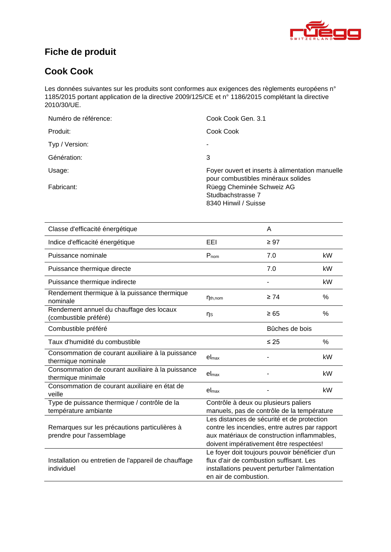

# **Fiche de produit**

### **[Cook Cook](#page-0-0)**

Les données suivantes sur les produits sont conformes aux exigences des règlements européens n° 1185/2015 portant application de la directive 2009/125/CE et n° 1186/2015 complétant la directive 2010/30/UE.

| Numéro de référence: | Cook Cook Gen. 3.1                                                                    |
|----------------------|---------------------------------------------------------------------------------------|
| Produit:             | Cook Cook                                                                             |
| Typ / Version:       |                                                                                       |
| Génération:          | 3                                                                                     |
| Usage:               | Foyer ouvert et inserts à alimentation manuelle<br>pour combustibles minéraux solides |
| Fabricant:           | Rüegg Cheminée Schweiz AG<br>Studbachstrasse 7<br>8340 Hinwil / Suisse                |

| Classe d'efficacité énergétique                                            |                                                                                                                                                                                        | A              |      |
|----------------------------------------------------------------------------|----------------------------------------------------------------------------------------------------------------------------------------------------------------------------------------|----------------|------|
| Indice d'efficacité énergétique                                            | EEI                                                                                                                                                                                    | $\geq 97$      |      |
| Puissance nominale                                                         | $P_{nom}$                                                                                                                                                                              | 7.0            | kW   |
| Puissance thermique directe                                                |                                                                                                                                                                                        | 7.0            | kW   |
| Puissance thermique indirecte                                              |                                                                                                                                                                                        |                | kW   |
| Rendement thermique à la puissance thermique<br>nominale                   | $\eta_{th,nom}$                                                                                                                                                                        | $\geq 74$      | %    |
| Rendement annuel du chauffage des locaux<br>(combustible préféré)          | ηs                                                                                                                                                                                     | $\geq 65$      | $\%$ |
| Combustible préféré                                                        |                                                                                                                                                                                        | Bûches de bois |      |
| Taux d'humidité du combustible                                             |                                                                                                                                                                                        | $\leq 25$      | $\%$ |
| Consommation de courant auxiliaire à la puissance<br>thermique nominale    | el <sub>max</sub>                                                                                                                                                                      |                | kW   |
| Consommation de courant auxiliaire à la puissance<br>thermique minimale    | el <sub>max</sub>                                                                                                                                                                      |                | kW   |
| Consommation de courant auxiliaire en état de<br>veille                    | el <sub>max</sub>                                                                                                                                                                      |                | kW   |
| Type de puissance thermique / contrôle de la<br>température ambiante       | Contrôle à deux ou plusieurs paliers<br>manuels, pas de contrôle de la température                                                                                                     |                |      |
| Remarques sur les précautions particulières à<br>prendre pour l'assemblage | Les distances de sécurité et de protection<br>contre les incendies, entre autres par rapport<br>aux matériaux de construction inflammables,<br>doivent impérativement être respectées! |                |      |
| Installation ou entretien de l'appareil de chauffage<br>individuel         | Le foyer doit toujours pouvoir bénéficier d'un<br>flux d'air de combustion suffisant. Les<br>installations peuvent perturber l'alimentation<br>en air de combustion.                   |                |      |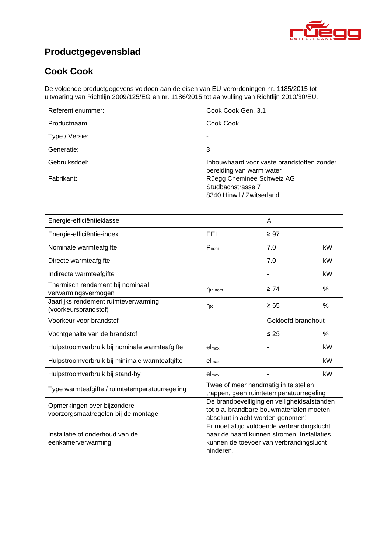

# **Productgegevensblad**

# **[Cook Cook](#page-0-0)**

De volgende productgegevens voldoen aan de eisen van EU-verordeningen nr. 1185/2015 tot uitvoering van Richtlijn 2009/125/EG en nr. 1186/2015 tot aanvulling van Richtlijn 2010/30/EU.

| Referentienummer: | Cook Cook Gen. 3.1                                                          |
|-------------------|-----------------------------------------------------------------------------|
| Productnaam:      | Cook Cook                                                                   |
| Type / Versie:    |                                                                             |
| Generatie:        | 3                                                                           |
| Gebruiksdoel:     | Inbouwhaard voor vaste brandstoffen zonder<br>bereiding van warm water      |
| Fabrikant:        | Rüegg Cheminée Schweiz AG<br>Studbachstrasse 7<br>8340 Hinwil / Zwitserland |

| Energie-efficiëntieklasse                                          |                                                                                                                                                  | A         |               |
|--------------------------------------------------------------------|--------------------------------------------------------------------------------------------------------------------------------------------------|-----------|---------------|
| Energie-efficiëntie-index                                          | EEI                                                                                                                                              | $\geq 97$ |               |
| Nominale warmteafgifte                                             | $P_{nom}$                                                                                                                                        | 7.0       | kW            |
| Directe warmteafgifte                                              |                                                                                                                                                  | 7.0       | kW            |
| Indirecte warmteafgifte                                            |                                                                                                                                                  |           | kW            |
| Thermisch rendement bij nominaal<br>verwarmingsvermogen            | $\eta_{th,nom}$                                                                                                                                  | $\geq 74$ | $\frac{0}{0}$ |
| Jaarlijks rendement ruimteverwarming<br>(voorkeursbrandstof)       | ηs                                                                                                                                               | $\geq 65$ | %             |
| Voorkeur voor brandstof                                            | Gekloofd brandhout                                                                                                                               |           |               |
| Vochtgehalte van de brandstof                                      |                                                                                                                                                  | $\leq$ 25 | $\%$          |
| Hulpstroomverbruik bij nominale warmteafgifte                      | el <sub>max</sub>                                                                                                                                |           | kW            |
| Hulpstroomverbruik bij minimale warmteafgifte                      | el <sub>max</sub>                                                                                                                                |           | kW            |
| Hulpstroomverbruik bij stand-by                                    | el <sub>max</sub>                                                                                                                                |           | kW            |
| Type warmteafgifte / ruimtetemperatuurregeling                     | Twee of meer handmatig in te stellen<br>trappen, geen ruimtetemperatuurregeling                                                                  |           |               |
| Opmerkingen over bijzondere<br>voorzorgsmaatregelen bij de montage | De brandbeveiliging en veiligheidsafstanden<br>tot o.a. brandbare bouwmaterialen moeten<br>absoluut in acht worden genomen!                      |           |               |
| Installatie of onderhoud van de<br>eenkamerverwarming              | Er moet altijd voldoende verbrandingslucht<br>naar de haard kunnen stromen. Installaties<br>kunnen de toevoer van verbrandingslucht<br>hinderen. |           |               |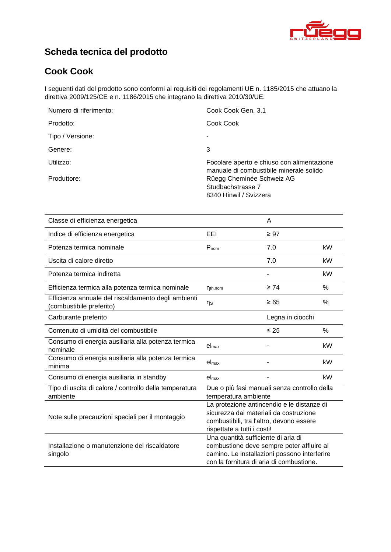

# **Scheda tecnica del prodotto**

### **[Cook Cook](#page-0-0)**

I seguenti dati del prodotto sono conformi ai requisiti dei regolamenti UE n. 1185/2015 che attuano la direttiva 2009/125/CE e n. 1186/2015 che integrano la direttiva 2010/30/UE.

| Numero di riferimento: | Cook Cook Gen. 3.1                                                                    |
|------------------------|---------------------------------------------------------------------------------------|
| Prodotto:              | Cook Cook                                                                             |
| Tipo / Versione:       |                                                                                       |
| Genere:                | 3                                                                                     |
| Utilizzo:              | Focolare aperto e chiuso con alimentazione<br>manuale di combustibile minerale solido |
| Produttore:            | Rüegg Cheminée Schweiz AG<br>Studbachstrasse 7<br>8340 Hinwil / Svizzera              |

| Classe di efficienza energetica                                                 |                                                                                                                                                                              | A         |      |
|---------------------------------------------------------------------------------|------------------------------------------------------------------------------------------------------------------------------------------------------------------------------|-----------|------|
| Indice di efficienza energetica                                                 | EEI                                                                                                                                                                          | $\geq 97$ |      |
| Potenza termica nominale                                                        | $P_{nom}$                                                                                                                                                                    | 7.0       | kW   |
| Uscita di calore diretto                                                        |                                                                                                                                                                              | 7.0       | kW   |
| Potenza termica indiretta                                                       |                                                                                                                                                                              |           | kW   |
| Efficienza termica alla potenza termica nominale                                | $\eta_{th,nom}$                                                                                                                                                              | $\geq 74$ | %    |
| Efficienza annuale del riscaldamento degli ambienti<br>(combustibile preferito) | ηs                                                                                                                                                                           | $\geq 65$ | %    |
| Carburante preferito                                                            | Legna in ciocchi                                                                                                                                                             |           |      |
| Contenuto di umidità del combustibile                                           |                                                                                                                                                                              | $\leq 25$ | $\%$ |
| Consumo di energia ausiliaria alla potenza termica<br>nominale                  | el <sub>max</sub>                                                                                                                                                            |           | kW   |
| Consumo di energia ausiliaria alla potenza termica<br>minima                    | el <sub>max</sub>                                                                                                                                                            |           | kW   |
| Consumo di energia ausiliaria in standby                                        | el <sub>max</sub>                                                                                                                                                            |           | kW   |
| Tipo di uscita di calore / controllo della temperatura<br>ambiente              | Due o più fasi manuali senza controllo della<br>temperatura ambiente                                                                                                         |           |      |
| Note sulle precauzioni speciali per il montaggio                                | La protezione antincendio e le distanze di<br>sicurezza dai materiali da costruzione<br>combustibili, tra l'altro, devono essere<br>rispettate a tutti i costi!              |           |      |
| Installazione o manutenzione del riscaldatore<br>singolo                        | Una quantità sufficiente di aria di<br>combustione deve sempre poter affluire al<br>camino. Le installazioni possono interferire<br>con la fornitura di aria di combustione. |           |      |